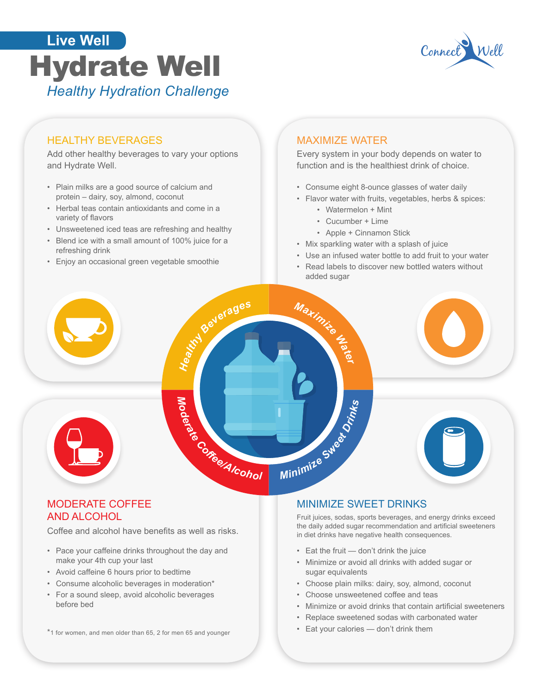



### HEALTHY BEVERAGES

Add other healthy beverages to vary your options and Hydrate Well.

- Plain milks are a good source of calcium and protein – dairy, soy, almond, coconut
- Herbal teas contain antioxidants and come in a variety of flavors
- Unsweetened iced teas are refreshing and healthy
- Blend ice with a small amount of 100% juice for a refreshing drink
- Enjoy an occasional green vegetable smoothie

### MAXIMIZE WATER

Every system in your body depends on water to function and is the healthiest drink of choice.

- Consume eight 8-ounce glasses of water daily
- Flavor water with fruits, vegetables, herbs & spices:
	- Watermelon + Mint
	- Cucumber + Lime
	- Apple + Cinnamon Stick
- Mix sparkling water with a splash of juice
- Use an infused water bottle to add fruit to your water
- Read labels to discover new bottled waters without added sugar



# AND ALCOHOL

Coffee and alcohol have benefits as well as risks.

- Pace your caffeine drinks throughout the day and make your 4th cup your last
- Avoid caffeine 6 hours prior to bedtime
- Consume alcoholic beverages in moderation\*
- For a sound sleep, avoid alcoholic beverages before bed
- \*1 for women, and men older than 65, 2 for men 65 and younger

### MODERATE COFFEE MINIMIZE SWEET DRINKS

Fruit juices, sodas, sports beverages, and energy drinks exceed the daily added sugar recommendation and artificial sweeteners<br>in diet drinks have negative health consequences.

- Eat the fruit don't drink the juice
- Minimize or avoid all drinks with added sugar or sugar equivalents
- Choose plain milks: dairy, soy, almond, coconut
- Choose unsweetened coffee and teas
- • Minimize or avoid drinks that contain artificial sweeteners
- Replace sweetened sodas with carbonated water
- Eat your calories don't drink them